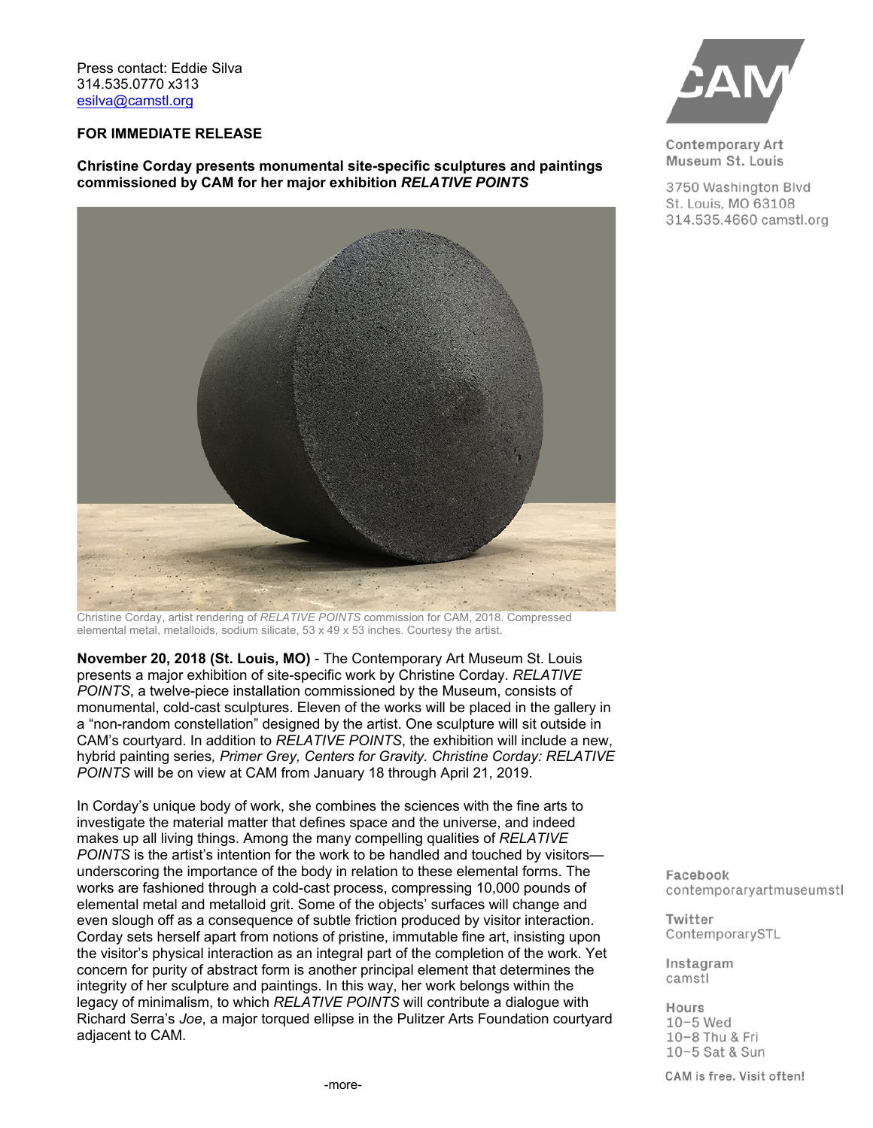Press contact: Eddie Silva 314.535.0770 x313 [esilva@camstl.org](mailto:esilva@camstl.org)

# **FOR IMMEDIATE RELEASE**

**Christine Corday presents monumental site-specific sculptures and paintings commissioned by CAM for her major exhibition** *RELATIVE POINTS*



Christine Corday, artist rendering of *RELATIVE POINTS* commission for CAM, 2018. Compressed elemental metal, metalloids, sodium silicate, 53 x 49 x 53 inches. Courtesy the artist.

**November 20, 2018 (St. Louis, MO)** - The Contemporary Art Museum St. Louis presents a major exhibition of site-specific work by Christine Corday. *RELATIVE POINTS*, a twelve-piece installation commissioned by the Museum, consists of monumental, cold-cast sculptures. Eleven of the works will be placed in the gallery in a "non-random constellation" designed by the artist. One sculpture will sit outside in CAM's courtyard. In addition to *RELATIVE POINTS*, the exhibition will include a new, hybrid painting series*, Primer Grey, Centers for Gravity. Christine Corday: RELATIVE POINTS* will be on view at CAM from January 18 through April 21, 2019.

In Corday's unique body of work, she combines the sciences with the fine arts to investigate the material matter that defines space and the universe, and indeed makes up all living things. Among the many compelling qualities of *RELATIVE POINTS* is the artist's intention for the work to be handled and touched by visitors underscoring the importance of the body in relation to these elemental forms. The works are fashioned through a cold-cast process, compressing 10,000 pounds of elemental metal and metalloid grit. Some of the objects' surfaces will change and even slough off as a consequence of subtle friction produced by visitor interaction. Corday sets herself apart from notions of pristine, immutable fine art, insisting upon the visitor's physical interaction as an integral part of the completion of the work. Yet concern for purity of abstract form is another principal element that determines the integrity of her sculpture and paintings. In this way, her work belongs within the legacy of minimalism, to which *RELATIVE POINTS* will contribute a dialogue with Richard Serra's *Joe*, a major torqued ellipse in the Pulitzer Arts Foundation courtyard adjacent to CAM.



**Contemporary Art** Museum St. Louis

3750 Washington Blvd St. Louis, MO 63108 314.535.4660 camstl.org

Facebook contemporaryartmuseumstl

Twitter ContemporarySTL

Instagram camstl

Hours  $10-5$  Wed 10-8 Thu & Fri 10-5 Sat & Sun

CAM is free. Visit often!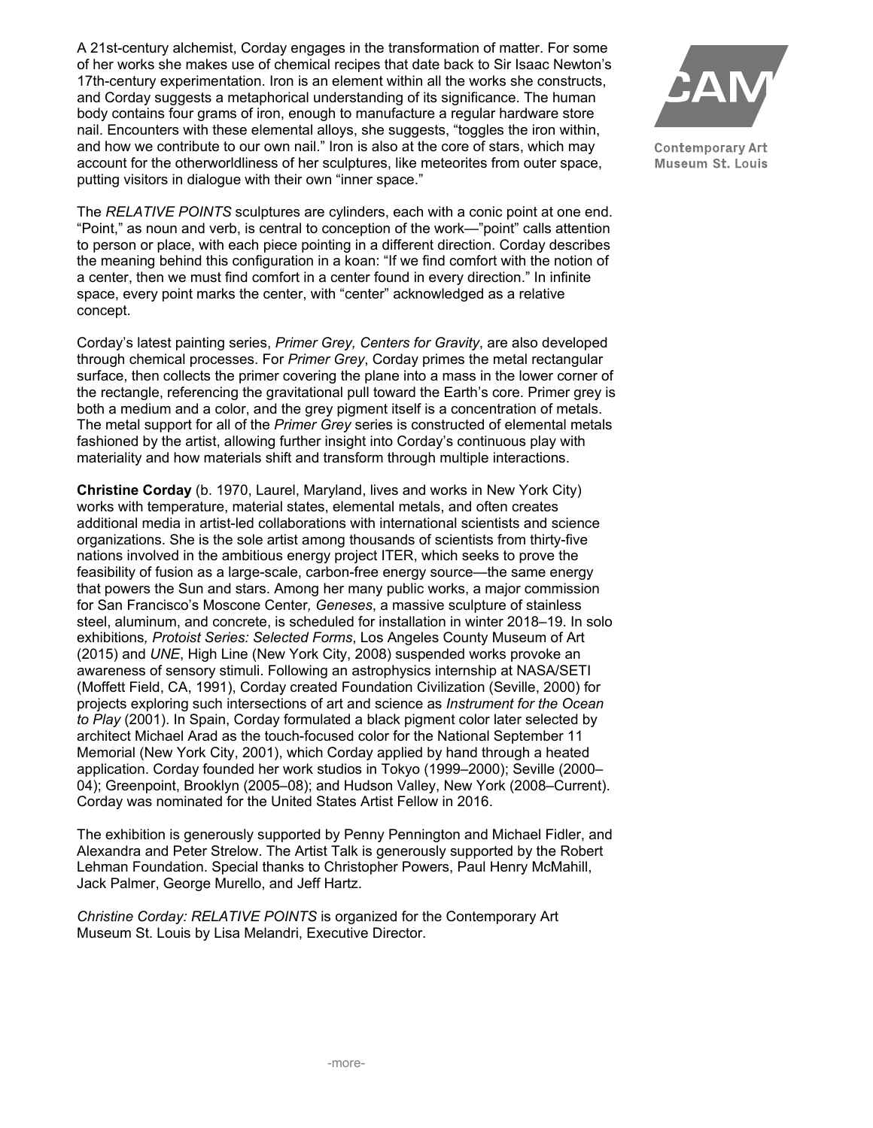A 21st-century alchemist, Corday engages in the transformation of matter. For some of her works she makes use of chemical recipes that date back to Sir Isaac Newton's 17th-century experimentation. Iron is an element within all the works she constructs, and Corday suggests a metaphorical understanding of its significance. The human body contains four grams of iron, enough to manufacture a regular hardware store nail. Encounters with these elemental alloys, she suggests, "toggles the iron within, and how we contribute to our own nail." Iron is also at the core of stars, which may account for the otherworldliness of her sculptures, like meteorites from outer space, putting visitors in dialogue with their own "inner space."

The *RELATIVE POINTS* sculptures are cylinders, each with a conic point at one end. "Point," as noun and verb, is central to conception of the work—"point" calls attention to person or place, with each piece pointing in a different direction. Corday describes the meaning behind this configuration in a koan: "If we find comfort with the notion of a center, then we must find comfort in a center found in every direction." In infinite space, every point marks the center, with "center" acknowledged as a relative concept.

Corday's latest painting series, *Primer Grey, Centers for Gravity*, are also developed through chemical processes. For *Primer Grey*, Corday primes the metal rectangular surface, then collects the primer covering the plane into a mass in the lower corner of the rectangle, referencing the gravitational pull toward the Earth's core. Primer grey is both a medium and a color, and the grey pigment itself is a concentration of metals. The metal support for all of the *Primer Grey* series is constructed of elemental metals fashioned by the artist, allowing further insight into Corday's continuous play with materiality and how materials shift and transform through multiple interactions.

**Christine Corday** (b. 1970, Laurel, Maryland, lives and works in New York City) works with temperature, material states, elemental metals, and often creates additional media in artist-led collaborations with international scientists and science organizations. She is the sole artist among thousands of scientists from thirty-five nations involved in the ambitious energy project ITER, which seeks to prove the feasibility of fusion as a large-scale, carbon-free energy source—the same energy that powers the Sun and stars. Among her many public works, a major commission for San Francisco's Moscone Center*, Geneses*, a massive sculpture of stainless steel, aluminum, and concrete, is scheduled for installation in winter 2018–19. In solo exhibitions*, Protoist Series: Selected Forms*, Los Angeles County Museum of Art (2015) and *UNE*, High Line (New York City, 2008) suspended works provoke an awareness of sensory stimuli. Following an astrophysics internship at NASA/SETI (Moffett Field, CA, 1991), Corday created Foundation Civilization (Seville, 2000) for projects exploring such intersections of art and science as *Instrument for the Ocean to Play* (2001). In Spain, Corday formulated a black pigment color later selected by architect Michael Arad as the touch-focused color for the National September 11 Memorial (New York City, 2001), which Corday applied by hand through a heated application. Corday founded her work studios in Tokyo (1999–2000); Seville (2000– 04); Greenpoint, Brooklyn (2005–08); and Hudson Valley, New York (2008–Current). Corday was nominated for the United States Artist Fellow in 2016.

The exhibition is generously supported by Penny Pennington and Michael Fidler, and Alexandra and Peter Strelow. The Artist Talk is generously supported by the Robert Lehman Foundation. Special thanks to Christopher Powers, Paul Henry McMahill, Jack Palmer, George Murello, and Jeff Hartz.

*Christine Corday: RELATIVE POINTS* is organized for the Contemporary Art Museum St. Louis by Lisa Melandri, Executive Director.



**Contemporary Art** Museum St. Louis